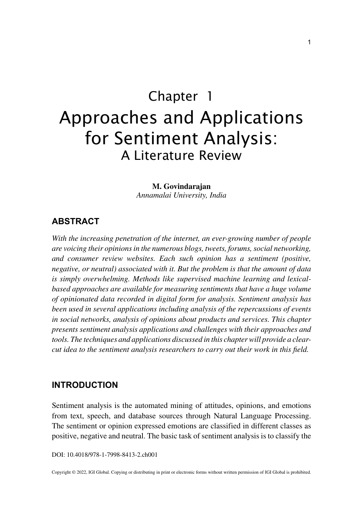# Chapter 1 Approaches and Applications for Sentiment Analysis: A Literature Review

**M. Govindarajan** *Annamalai University, India*

## **ABSTRACT**

*With the increasing penetration of the internet, an ever-growing number of people are voicing their opinions in the numerous blogs, tweets, forums, social networking, and consumer review websites. Each such opinion has a sentiment (positive, negative, or neutral) associated with it. But the problem is that the amount of data is simply overwhelming. Methods like supervised machine learning and lexical*based approaches are available for measuring sentiments that have a huge volume *of opinionated data recorded in digital form for analysis. Sentiment analysis has been used in several applications including analysis of the repercussions of events in social networks, analysis of opinions about products and services. This chapter presents sentiment analysis applications and challenges with their approaches and tools. The techniques and applications discussed in this chapter will provide a clearcut idea to the sentiment analysis researchers to carry out their work in this field.*

## **INTRODUCTION**

Sentiment analysis is the automated mining of attitudes, opinions, and emotions from text, speech, and database sources through Natural Language Processing. The sentiment or opinion expressed emotions are classified in different classes as positive, negative and neutral. The basic task of sentiment analysis is to classify the

DOI: 10.4018/978-1-7998-8413-2.ch001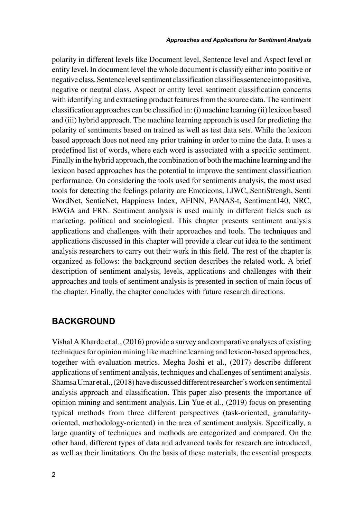polarity in different levels like Document level, Sentence level and Aspect level or entity level. In document level the whole document is classify either into positive or negative class. Sentence level sentiment classification classifies sentence into positive, negative or neutral class. Aspect or entity level sentiment classification concerns with identifying and extracting product features from the source data. The sentiment classification approaches can be classified in: (i) machine learning (ii) lexicon based and (iii) hybrid approach. The machine learning approach is used for predicting the polarity of sentiments based on trained as well as test data sets. While the lexicon based approach does not need any prior training in order to mine the data. It uses a predefined list of words, where each word is associated with a specific sentiment. Finally in the hybrid approach, the combination of both the machine learning and the lexicon based approaches has the potential to improve the sentiment classification performance. On considering the tools used for sentiments analysis, the most used tools for detecting the feelings polarity are Emoticons, LIWC, SentiStrengh, Senti WordNet, SenticNet, Happiness Index, AFINN, PANAS-t, Sentiment140, NRC, EWGA and FRN. Sentiment analysis is used mainly in different fields such as marketing, political and sociological. This chapter presents sentiment analysis applications and challenges with their approaches and tools. The techniques and applications discussed in this chapter will provide a clear cut idea to the sentiment analysis researchers to carry out their work in this field. The rest of the chapter is organized as follows: the background section describes the related work. A brief description of sentiment analysis, levels, applications and challenges with their approaches and tools of sentiment analysis is presented in section of main focus of the chapter. Finally, the chapter concludes with future research directions.

# **BACKGROUND**

Vishal A Kharde et al., (2016) provide a survey and comparative analyses of existing techniques for opinion mining like machine learning and lexicon-based approaches, together with evaluation metrics. Megha Joshi et al., (2017) describe different applications of sentiment analysis, techniques and challenges of sentiment analysis. Shamsa Umar et al., (2018) have discussed different researcher's work on sentimental analysis approach and classification. This paper also presents the importance of opinion mining and sentiment analysis. Lin Yue et al., (2019) focus on presenting typical methods from three different perspectives (task-oriented, granularityoriented, methodology-oriented) in the area of sentiment analysis. Specifically, a large quantity of techniques and methods are categorized and compared. On the other hand, different types of data and advanced tools for research are introduced, as well as their limitations. On the basis of these materials, the essential prospects